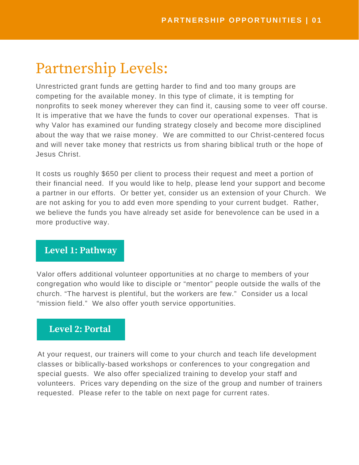# Partnership Levels:

Unrestricted grant funds are getting harder to find and too many groups are competing for the available money. In this type of climate, it is tempting for nonprofits to seek money wherever they can find it, causing some to veer off course. It is imperative that we have the funds to cover our operational expenses. That is why Valor has examined our funding strategy closely and become more disciplined about the way that we raise money. We are committed to our Christ-centered focus and will never take money that restricts us from sharing biblical truth or the hope of Jesus Christ.

It costs us roughly \$650 per client to process their request and meet a portion of their financial need. If you would like to help, please lend your support and become a partner in our efforts. Or better yet, consider us an extension of your Church. We are not asking for you to add even more spending to your current budget. Rather, we believe the funds you have already set aside for benevolence can be used in a more productive way.

### **Level 1: Pathway**

Valor offers additional volunteer opportunities at no charge to members of your congregation who would like to disciple or "mentor" people outside the walls of the church. "The harvest is plentiful, but the workers are few." Consider us a local "mission field." We also offer youth service opportunities.

# **Level 2: Portal**

At your request, our trainers will come to your church and teach life development classes or biblically-based workshops or conferences to your congregation and special guests. We also offer specialized training to develop your staff and volunteers. Prices vary depending on the size of the group and number of trainers requested. Please refer to the table on next page for current rates.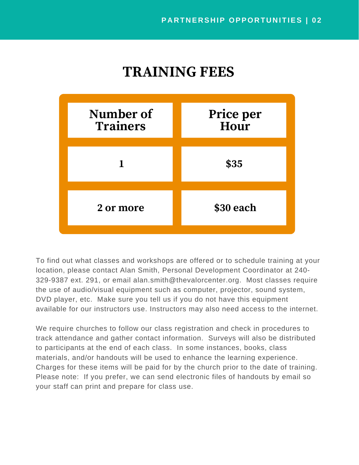# **TRAINING FEES**



To find out what classes and workshops are offered or to schedule training at your location, please contact Alan Smith, Personal Development Coordinator at 240- 329-9387 ext. 291, or email alan.smith@thevalorcenter.org. Most classes require the use of audio/visual equipment such as computer, projector, sound system, DVD player, etc. Make sure you tell us if you do not have this equipment available for our instructors use. Instructors may also need access to the internet.

Charges for these items will be paid for by the church prior to the date of training. Please note: If you prefer, we can send electronic files of handouts by email so your staff can print and prepare for class use. We require churches to follow our class registration and check in procedures to track attendance and gather contact information. Surveys will also be distributed to participants at the end of each class. In some instances, books, class materials, and/or handouts will be used to enhance the learning experience.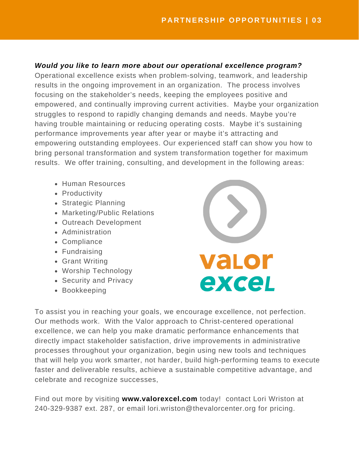#### *Would you like to learn more about our operational excellence program?*

performance improvements year after year or maybe it's attracting and empowering outstanding employees. Our experienced staff can show you how to bring personal transformation and system transformation together for maximum results. We offer training, consulting, and development in the following areas: Operational excellence exists when problem-solving, teamwork, and leadership results in the ongoing improvement in an organization. The process involves focusing on the stakeholder's needs, keeping the employees positive and empowered, and continually improving current activities. Maybe your organization struggles to respond to rapidly changing demands and needs. Maybe you're having trouble maintaining or reducing operating costs. Maybe it's sustaining

- Human Resources
- Productivity
- Strategic Planning
- Marketing/Public Relations
- Outreach Development
- Administration
- Compliance
- Fundraising
- Grant Writing
- Worship Technology
- Security and Privacy
- Bookkeeping



To assist you in reaching your goals, we encourage excellence, not perfection. Our methods work. With the Valor approach to Christ-centered operational excellence, we can help you make dramatic performance enhancements that directly impact stakeholder satisfaction, drive improvements in administrative processes throughout your organization, begin using new tools and techniques that will help you work smarter, not harder, build high-performing teams to execute faster and deliverable results, achieve a sustainable competitive advantage, and celebrate and recognize successes,

Find out more by visiting **www.valorexcel.com** today! contact Lori Wriston at 240-329-9387 ext. 287, or email lori.wriston@thevalorcenter.org for pricing.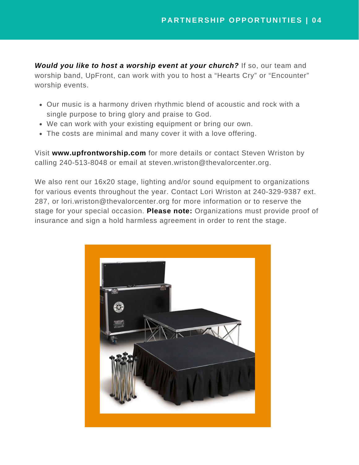*Would you like to host a worship event at your church?* If so, our team and worship band, UpFront, can work with you to host a "Hearts Cry" or "Encounter" worship events.

- Our music is a harmony driven rhythmic blend of acoustic and rock with a single purpose to bring glory and praise to God.
- We can work with your existing equipment or bring our own.
- The costs are minimal and many cover it with a love offering.

Visit **www.upfrontworship.com** for more details or contact Steven Wriston by calling 240-513-8048 or email at steven.wriston@thevalorcenter.org.

We also rent our 16x20 stage, lighting and/or sound equipment to organizations for various events throughout the year. Contact Lori Wriston at 240-329-9387 ext. 287, or lori.wriston@thevalorcenter.org for more information or to reserve the stage for your special occasion. **Please note:** Organizations must provide proof of insurance and sign a hold harmless agreement in order to rent the stage.

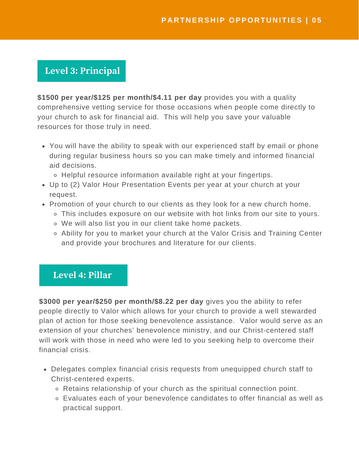# **Level 3: Principal**

**\$1500 per year/\$125 per month/\$4.11 per day** provides you with a quality comprehensive vetting service for those occasions when people come directly to your church to ask for financial aid. This will help you save your valuable resources for those truly in need.

- You will have the ability to speak with our experienced staff by email or phone during regular business hours so you can make timely and informed financial aid decisions.
	- Helpful resource information available right at your fingertips.
- Up to (2) Valor Hour Presentation Events per year at your church at your request.
- Promotion of your church to our clients as they look for a new church home.
	- This includes exposure on our website with hot links from our site to yours.
	- We will also list you in our client take home packets.
	- Ability for you to market your church at the Valor Crisis and Training Center and provide your brochures and literature for our clients.

### **Level 4: Pillar**

**\$3000 per year/\$250 per month/\$8.22 per day** gives you the ability to refer people directly to Valor which allows for your church to provide a well stewarded plan of action for those seeking benevolence assistance. Valor would serve as an extension of your churches' benevolence ministry, and our Christ-centered staff will work with those in need who were led to you seeking help to overcome their financial crisis.

- Delegates complex financial crisis requests from unequipped church staff to Christ-centered experts.
	- Retains relationship of your church as the spiritual connection point.
	- Evaluates each of your benevolence candidates to offer financial as well as practical support.